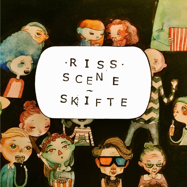# $\cdot$ R I S S  $\cdot$  $S C E N$ E SKIFTE

 $\ddot{\bullet}$ 

 $10$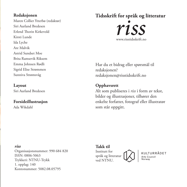# **Redaksjonen**

Maren Collier Ytterbø (redaktør) Siri Aurland Bredesen Erlend Thorin Kirkevold Kirsti Lunde Ida Lyche Are Malvik Astrid Sundset Moe Brita Ramsevik Riksem Emma Johnsen Rødli Sigrid Elise Strømmen Sunniva Strømsvåg

# **Layout** Siri Aurland Bredesen

#### **Forsideillustrasjon** Ada Wikdahl

# **Tidsskrift for språk og litteratur** www.risstidsskrift.no *riss*

Har du et bidrag eller spørsmål til redaksjonen? redaksjonen@risstidsskrift.no

# **Opphavsrett**

Alt som publiseres i *riss* i form av tekst, bilder og illustrasjoner, tilhører den enkelte forfatter, fotograf eller illustratør som står oppgitt.

#### *riss*

Organisasjonsnummer: 990 684 820 ISSN: 0806-5063 Trykkeri: NTNU-Trykk 1. opplag: 140 Kontonummer: 5082.08.05795

**Takk til** Institutt for språk og litteratur ved NTNU.

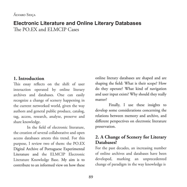#### Álvaro Seiça

# **Electronic Literature and Online Literary Databases** The PO.EX and ELMCIP Cases

# **1. Introduction**

This essay reflects on the shift of user interaction operated by online literary archives and databases. One can easily recognize a change of scenery happening in the current networked world, given the way authors and general public produce, catalog, tag, access, research, analyze, preserve and share knowledge.

In the field of electronic literature, the creation of several collaborative and open access databases attests this trend. For this purpose, I review two of them: the PO.EX Digital Archive of Portuguese Experimental Literature and the ELMCIP Electronic Literature Knowledge Base. My aim is to contribute to an informed view on how these online literary databases are shaped and are shaping the field: What is their scope? How do they operate? What kind of navigation and user input exists? Why should they really matter?

Finally, I use these insights to develop some considerations concerning the relations between memory and archive, and different perspectives on electronic literature preservation.

# **2. A Change of Scenery for Literary Databases?**

For the past decades, an increasing number of online archives and databases have been developed, marking an unprecedented change of paradigm in the way knowledge is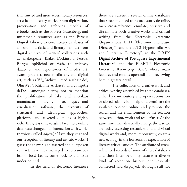transmitted and users access library resources, artistic and literary works. From digitization, preservation and archiving models of e-books such as the Project Gutenberg, and multimedia resources such as the Perseus Digital Library, to core library databases of all sorts of artistic and literary periods; from digital archives of writers' collections such as Shakespeare, Blake, Dickinson, Pessoa, Borges, bpNichol or Wah, to archives, databases and repositories of media art, avant-garde art, new media art, and digital art, such as V2\_Archive<sup>1</sup>, mediaartbase.de<sup>2</sup>, UbuWeb<sup>3</sup>, Rhizome ArtBase<sup>4</sup>, and compArt daDA5 , amongst plenty, not to mention the proliferation of labs and metalabs manufacturing archiving techniques and visualization software, the diversity of structural and ideological approaches, platforms and covered domains is highly rich. Thus, it is time to ask: Have these online databases changed our interaction with works (previous called *objects*)? Have they changed our reception of literary and artistic works? I guess the answer is an asserted and outspoken yes. Yet, have they managed to restrain our fear of loss? Let us come back to this issue under point 4.

In the field of electronic literature

there are currently several online databases that stress the need to record, store, describe, map, cross-reference, emulate, preserve and disseminate both creative works and critical writing from the Electronic Literature Organization's ELD (Electronic Literature Directory)6 and the NT2 Hypermedia Art and Literature Directory<sup>7</sup>, to the PO.EX Digital Archive of Portuguese Experimental Literature8 and the ELMCIP Electronic Literature Knowledge Base<sup>9</sup>, whose main features and modus operandi I am reviewing here in greater detail.

The collections of creative work and critical writing assembled by these databases, either by contributory and open submission or closed submission, help to disseminate the available content online and promote the search and the enhancement of the relation between author, work and reader/user. At the same time, they drastically change the way we are today accessing textual, sound and visual digital works and, more importantly, create a new ecology in the horizons of expectation of literary critical studies. The attribute of crossreferenced records of some of these databases and their interoperability assures a diverse kind of reception history, one instantly connected and displayed, although still not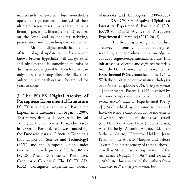immediately uncovered, but nonetheless opened to a greater macro analysis of their ultimate repositories: metadata contains literary pieces. E-literature (e-lit) evolves on the Web, and so does its archiving, preservation and researching environments.

Although digital media has the flaw of technological update on its back – one knows broken hyperlinks will always exist, and obsolescence is something to miss or dismiss – code is portable. Therefore, we can only hope that strong directories like these online literary databases will be around for years to come.

# **3. The PO.EX Digital Archive of Portuguese Experimental Literature**

PO.EX is a digital archive of Portuguese Experimental Literature that began in 2005. This literary database is coordinated by Rui Torres, at the University Fernando Pessoa in Oporto, Portugal, and was funded by the Fundação para a Ciência e Tecnologia [Foundation for Science and Technology] (FCT) and the European Union under two main research projects: "CD-ROM da PO.EX: Poesia Experimental Portuguesa, Cadernos e Catálogos" [The PO.EX CD-ROM: Portuguese Experimental Poetry, Notebooks and Catalogues] (2005-2008) and "PO.EX'70-80: Arquivo Digital da Literatura Experimental Portuguesa" [PO. EX'70-80: Digital Archive of Portuguese Experimental Literature] (2010-2013).

The first project sought to conduct a survey – inventorying, documenting, researching and spreading the knowledge – about Portuguese experimental literature. This initiative has collected and digitized materials from the PO.EX movement, a movement of EXperimental POetry launched in the 1960s. With the publication of two main anthologies or *cadernos* (chapbooks), *Poesia Experimental* 1 [Experimental Poetry 1] (1964), edited by António Aragão and Herberto Helder, and *Poesia Experimental* 2 [Experimental Poetry 2] (1966), edited by the same authors and E.M. de Melo e Castro, an active movement of writers, artists and musicians was settled (the PO.EX): Álvaro Neto (Liberto Cruz), Ana Hatherly, António Aragão, E.M. de Melo e Castro, Herberto Helder, Jorge Peixinho, José-Alberto Marques and Salette Tavares. The heterogeneity of these authors – as well as Melo e Castro's organization of the magazines *Operação* 1 (1967) and *Hidra* 2 (1969), in which several of the authors from *Cadernos de Poesia Experimental*, but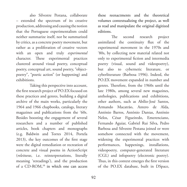also Silvestre Pestana, collaborate – extended the spectrum of its creative production, addressing and causing the notion that the Portuguese experimentalism could neither summarize itself, nor be summarized by critics, as a concrete poetry movement, but rather as a proliferation of creative vectors with an open and truly *experimental* character. These experimental practices clustered around visual poetry, conceptual poetry, conceptual art, sound poetry, "objectpoetry", "poetic action" (or happening) and exhibitions.

Taking this perspective into account, the first research project of PO.EX focused on these practices and genres, building a digital archive of the main works, particularly the 1964 and 1966 chapbooks, catalogs, literary magazines and publications from the '60s. Besides boosting the engagement of several researchers and a number of published articles, book chapters and monographs (e.g. Baldwin and Torres 2014, Portela 2013), the key outcomes of the first stage were the digital remediation or recreation of concrete and visual poems in ActionScript (*releituras*, i.e. reinterpretations, literally meaning 'rereadings'), and the production of a CD-ROM, 10 in which one can access these reenactments and the theoretical volumes contextualizing the project, as well as read and manipulate the original digitized editions.

The second research project assimilated the continuity flux of the experimental movement in the 1970s and '80s, by collecting new material related not only to experimental fiction and intermedia poetry (visual, sound and videopoetry), but also to cybernetic literature, or cyberliterature (Barbosa 1996). Indeed, the PO.EX movement expanded in number and genres. Therefore, from the 1960s until the late 1980s, among several new magazines, anthologies, publications and exhibitions, other authors, such as Abílio-José Santos, Armando Macatrão, Antero de Alda, António Barros, António Dantas, António Nelos, César Figueiredo, Emerenciano, Fernando Aguiar, Gabriel Rui Silva, Pedro Barbosa and Silvestre Pestana joined or were somehow connected with the movement, widening the experimental practices with performances, happenings, installations, videopoetry, computer-generated literature (CGL) and infopoetry (electronic poetry). Thus, in this context emerges the first version of the PO.EX database, built in DSpace,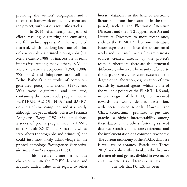providing the authors' biographies and a theoretical framework on the movement and the project, with various scientific articles.

In 2014, after nearly ten years of effort, rescuing, digitalizing and emulating, the full archive appears. All the assembled material, which had long been out of print, only accessible via printed monographs (e.g. Melo e Castro 1988) or inaccessible, is really impressive. Among many others, E.M. de Melo e Castro's videopoems (1968, 1980s, '90s, '00s) and infopoems are available; Pedro Barbosa's first works of computergenerated poetry and fiction (1970s and '80s) were digitalized and emulated, containing the source code programmed in FORTRAN, ALGOL, NEAT and BASIC<sup>11</sup> on a mainframe computer; and it is ready, although not yet available, Silvestre Pestana's *Computer Poetry* (1981-83) emulations, a series of poems programmed in BASIC on a Sinclair ZX-81 and Spectrum, whose screenshots (photographs and printouts) one could just most likely acknowledge in the printed anthology *Poemografias: Perspectivas da Poesia Visual Portuguesa* (1985).

This feature creates a unique character within the PO.EX database and acquires added value with regard to other literary databases in the field of electronic literature – from those starting in the same period, such as the Electronic Literature Directory and the NT2 Hypermedia Art and Literature Directory, to more recent ones, such as the ELMCIP Electronic Literature Knowledge Base – since the documented works and their multimedia files are primary sources created directly by the project's team. Furthermore, there are also structural differences, which can be mainly referred to the deep cross-reference record system and the degree of collaboration, e.g. creation of new records by external agents, which is one of the valuable points of the ELMCIP KB and, in lesser degree, of the ELD, more oriented towards the works' detailed description, with peer-reviewed records. However, the CELL consortium<sup>12</sup> promises to put into practice a higher interoperability among these databases and others, fostering a shared database search engine, cross-reference and the implementation of a common taxonomy. The current taxonomy of the PO.EX database is well argued (Branco, Portela and Torres 2013) and coherently articulates the diversity of materials and genres, divided in two major areas: materialities and transtextualities.

The role that PO.EX has been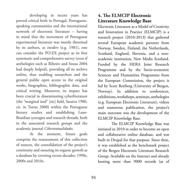developing in recent years has proved critical both in Portugal, Portuguesespeaking communities and the international network of electronic literature – having in mind that the movement of Portuguese experimental literature was mostly theorized by its authors, as *insiders* (e.g. 1981), one can consider the PO.EX project as its first systematic and comprehensive survey (even if anthologies such as Ribeiro and Sousa 2004 had deeply helped), providing all its archive online, thus enabling researchers and the general public open access to the original works, biographies, bibliographic data, and critical writing. Moreover, its impact has been crucial in disseminating cyberliterature (the "marginal ized" [sic] field, Saraiva 1980, cit. in Torres 2008) within the Portuguese literary studies and establishing Luso-Brazilian synergies and research threads, both in the associated research groups and the academic journal *Cibertextualidades*.

At the moment, future goals comprise the reassessment of this collection of sources, the consolidation of the project's continuity and ensuring its organic growth as a database by covering recent decades: 1990s, 2000s and 2010s.

# **4. The ELMCIP Electronic Literature Knowledge Base**

Electronic Literature as a Model of Creativity and Innovation in Practice (ELMCIP) is a research project (2010-2013) that gathered several European academic partners from Norway, Sweden, Finland, the Netherlands, Scotland, England, Slovenia, and a nonacademic institution, New Media Scotland. Funded by the HERA Joint Research Programme and by the Socio-economic Sciences and Humanities Programme from the European Commission, the project is led by Scott Rettberg (University of Bergen, Norway). In addition to conferences, exhibitions, workshops, seminars, anthologies (e.g. European Electronic Literature), videos and numerous publication, the project's main outcome was the development of the ELMCIP Knowledge Base.

The ELMCIP Knowledge Base was initiated in 2010 in order to become an open and collaborative online database, and was built in Drupal for that purpose. Since then, it was established as the benchmark project of the Bergen Electronic Literature Research Group. Available on the Internet and already hosting more than 9000 records (as of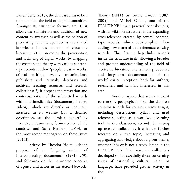December 3, 2013), the database aims to be a role model in the field of digital humanities. Amongst its distinctive features are: 1) it allows the submission and addition of new content by any user, as well as the edition of preexisting content, open access and shared knowledge in the domain of electronic literature; 2) it promotes the preservation and archiving of digital works, by mapping the creation and theory with various contenttype records: authors/people, creative works, critical writing, events, organizations, publishers and journals, databases and archives, teaching resources and research collections; 3) it deepens the attestation and contextualization of the submitted records with multimedia files (documents, images, videos), which are directly or indirectly attached in its website (for a detailed description, see the "Project Report" by Eric Dean Rasmussen, former editor of the database, and Scott Rettberg [2013], or the most recent monograph on these issues [2014]).

Stirred by Theodor Holm Nelson's proposal of an "ongoing system of interconnecting documents" (1981: 2/9), and following on the networked concepts of agency and actors in the Actor-NetworkTheory (ANT) by Bruno Latour (1987, 2005) and Michel Callon, one of the ELMCIP KB's main practical contributions, with its wiki-like structure, is the expanding cross-reference created by several contenttype records, which autocomplete when adding new material that references existing records. This feature hyperlinks records inside the structure itself, allowing a broader and prompt understanding of the field of electronic literature, and a more productive and long-term documentation of the works' critical reception, both for authors, researchers and scholars interested in this area.

Another aspect that seems relevant to stress is pedagogical: first, the database contains records for courses already taught, including descriptions, syllabi and used references, acting as a worldwide learning tool in the classroom; second, by setting up research collections, it enhances further research on a free topic, increasing and aggregating knowledge about a given theme, whether it is or is not already latent in the ELMCIP KB. The research collections developed so far, especially those concerning issues of nationality, cultural region or language, have provided greater activity in the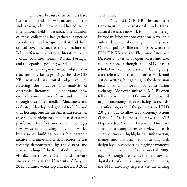database, because their curators have inserted thousands of new records on countries and languages hitherto less addressed in the international field of research. The addition of these collections has gathered dispersed records and lead to groups that had little critical coverage, such as the collections on Polish references, electronic literature in the Nordic countries, Brazil, Russia, Portugal, and the Spanish-speaking world.

As an organic virtual object that diachronically keeps growing, the ELMCIP KB achieved its initial objectives by fostering the practice and analysis of electronic literature – "understand how creative communities form and interact through distributed media," "document and evaluate," "develop pedagogical tools," – and thus hosting, outside the American scene, an accessible, participatory and shared research platform. This fact not only encourages new ways of analyzing individual works, but also of building on its bibliographic archive of creative and critical records, as was recently demonstrated by the distant and macro readings of the field of e-lit, using the visualization software Gephi and network analyses, both at the University of Bergen's 2013 Summer workshop and the ELO 2013

conference.

The ELMCIP KB's impact as a translinguistic, transnational and transcultural research network is no longer merely European. It became one of the main available online databases about digital literary arts. One can point visible analogies between the ELMCIP KB and the Electronic Literature Directory, in terms of open access and user collaboration, although the ELD has a scholarly-driven record system, lacking deep cross-reference between creative work and critical writing, but gaining in the discussion field a kind of forum for contribution exchange. Moreover, unlike ELMCIP's open folksonomy, the ELD's initial controlled tagging taxonomy helps restricting the records' classification, even if the peer-reviewed ELD 2.0 grew out to allow a folksonomy system (Tabbi 2007). In the same way, the NT2 Hypermedia Art and Literature Directory aims for a comprehensive review of each creative work, highlighting information, themes and platform with a striking web design layout, considering tagging taxonomy as an "inductive system" (Gervais et al. 2009: n.p.). Although it expands the field towards digital artworks, presenting excellent reviews, the NT2 directory neglects critical writing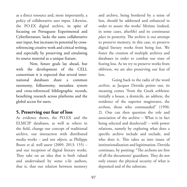as a direct resource and, more importantly, a policy of collaborative user input. Likewise, the PO.EX digital archive, in spite of focusing on Portuguese Experimental and Cyberliterature, lacks the same collaborative user input, but increases its potential by crossreferencing creative work and critical writing, and especially by preserving and emulating its source material as a unique feature.

Now, future goals lay ahead, but with the development of the CELL consortium it is expected that several international databases share a common taxonomy, folksonomy, metadata system and cross-referenced bibliographic records, benefiting research across platforms and the global access for users.

# **5. Preserving our fear of loss**

As evidence shows, the PO.EX and the ELMCIP databases, as well as others in the field, change our concept of traditional archive, our interaction with distributed media works – and not *objects*, as Philippe Bootz et al. well assert (2009, 2013: 155) – and our reception of digital literary works. They take on an idea that is both valued and undervalued by some e-lit authors, that is, that our relation between memory

and archive, being bordered by a sense of loss, should be addressed and enhanced in order to assure the works' lifetime (indeed, in some cases, afterlife) and its continuous *place* in posterity. The archive is our attempt to preserve memory, in this case, to preserve digital literary works from being lost. We foster the creation of multiple archives and databases in order to combat our state of fearing loss. As we try to preserve works from oblivion, we are also preserving our fear of loss.

Going back to the radix of the word *archive*, as Jacques Derrida points out, its meaning comes "from the Greek *arkheion*: initially a house, a domicile, an address, the residence of the superior magistrates, the *archons*, those who commanded" (1996: 2). One can then question the role and association of the archive – What is in fact being selected and deselected? – with power relations, namely by exploring what does a specific archive include and exclude, and who does it. This takes us into issues of institutionalization and legitimation. Derrida continues, by positing: "The archons are first of all the documents' guardians. They do not only ensure the physical security of what is deposited and of the substrate.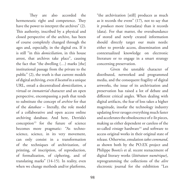They are also accorded the hermeneutic right and competence. They have the power to interpret the archives" (2). This authority, inscribed by a physical and closed perspective of the archive, has been of course completely changed through the ages and, especially, in the digital era. If it is still "in this *domiciliation*, in this house arrest, that archives take place", causing the fact that "the dwelling (…) marks [the] institutional passage from the private to the public" (2), the truth is that current models of digital archiving, even if *located* in a unique URL, entail a decentralized *domiciliation*, a virtual or *immaterial* character and an open perspective, encompassing a path that tends to substitute the concept of *archive* for that of the *database* – literally, the role model of a collaborative and open access online archiving database. And here, Derrida's  $conception<sup>13</sup>$  for the future of science becomes more pragmatic: "As technoscience, science, in its very movement, can only consist in a transformation of the techniques of archivization, of printing, of inscription, of reproduction, of formalization, of ciphering, and of translating marks" (14-15). In reality, even when we change methods and/or platforms,

"the archivization [still] produces as much as it records the event" (17), not to say that it *produces* more (metadata) than it records (data). For that matter, the overabundance of stored and newly created information should directly target our main needs: either to provide access, dissemination and contextualized knowledge on electronic literature or to engage in a smart strategy concerning preservation.

Given the unstable character of distributed, networked and programmed media, and the consequent fragility of digital artworks, the issue of its archivization and preservation has raised a lot of debate and different critical angles. When dealing with digital artifacts, the fear of loss takes a higher magnitude, insofar the technology industry updating fever ravages everything much faster and accelerates the obsolescence of e-lit pieces, making us either dependent or careless of the so-called *vintage* hardware<sup>14</sup> and software to access original works in their original state of release. Otherwise, emulation *takes command*, as shown both by the PO.EX project and Philippe Bootz's et al. recent reenactment of digital literary works (*littérature numérique*), reprogramming the collections of the *alire* electronic journal for the exhibition "Les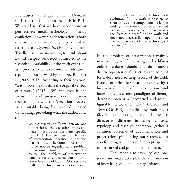Littératures Numériques d'Hier a Demain" (2013) at the Labo from the BnF, in Paris. We could say that we have two options or perspectives: media archeology or media emulation. However, as degeneration is both thematized and structurally experienced in real-time, e.g. *degenerativa* (2005) by Eugenio Tisselli, it is more interesting to think about a third perspective, deeply connected to the second: the variability of the work over time as a process to be taken into consideration, a problem put forward by Philippe Bootz et al. (2009, 2013). According to their position, "it is impossible to define the original version of a work" (2013: 159) and even if one archives the code/program, one will always need to handle with the "execution process" as a mutable being by force of updated transcoding, provoking what the authors call

a

labile characteristic. From then on, one cannot freeze the execution process to make it reproduce the same specific state (…) This goes against the idea of preservation, because it destroys that lability. Therefore, preservation should not be regarded as a problem of reconstruction of a state. Of course, the problem of preservation remains, for obsolescence constitutes a borderline case of lability. Obsolescence shall be defined in semiotic terms, without reference to any technological evolution. (…) A work is obsolete as soon as its visible components no longer undergo any semiotic process. Defined as such, obsolescence characterizes the "semiotic death" of the work and does not necessarily superimpose on the obsolescence of the technological system. (159-160)

If "the problem of preservation remains", new paradigms of archiving and edifying online databases should and do promote diverse organizational structures and account for a deep need to keep record of the field. Instead of strict classification, typified by a hierarchical mode of representation and indexation, these new paradigms of literary databases present a "decentred and reconfigurable network of texts" (Portela and Torres 2013: 9), amplified by multimedia files. The ELD, NT2, PO.EX and ELMCIP directories, different in scope, content, typology and user collaboration, gather a common objective of documentation and preservation, pinpointing our searches, but also fostering new tools and concepts specific to networked and programmable media.

The impetus to store, collect, preserve, and make accessible the transmission of knowledge of digital literary artifacts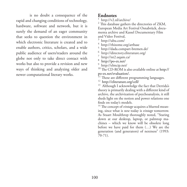is no doubt a consequence of the rapid and changing conditions of technology, hardware, software and network, but it is surely the demand of an eager community that seeks to question the environment in which electronic literature is created and to enable authors, critics, scholars, and a wide public audience of users/readers around the globe not only to take direct contact with works but also to provide a revision and new ways of thinking and analyzing older and newer computational literary works.

# **Endnotes**

http://v2.nl/archive/

 $2$  This database gathers the directories of ZKM, European Media Art Festival Osnabrück, documenta archive and Kassel Documentary Film and Video Festival,

 $\frac{3}{4}$  http://ubu.com/

http://rhizome.org/artbase

5 http://dada.compart-bremen.de/

<sup>6</sup> http://directory.eliterature.org/<br>
<sup>7</sup> http://nt2.uqam.ca/<br>
<sup>8</sup> http://po-ex.net/<br>
9 http://elmcip.net/

<sup>10</sup> The CD-ROM is also available online at http:// po-ex.net/evaluation/.<br><sup>11</sup> These are different programming languages.

<sup>12</sup> http://eliterature.org/cell/<br><sup>13</sup> Although I acknowledge the fact that Derrida's theory is primarily dealing with a different kind of archive, the archivization of psychoanalysis, it still sheds light on the notion and power relations one finds on today's models.

<sup>14</sup> The concept of *vintage* acquires a blurred meaning, since what is *new* today is *vintage* tomorrow. As Stuart Moulthrop thoroughly noted, "Staring down at our desktop, laptop, or palmtop machines – which we know will be obsolete long before we have paid for them (…) We are the generation (and generators) of nextness" (1993: 70-71).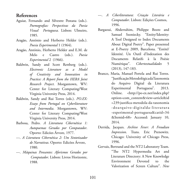### **References**

- Aguiar, Fernando and Silvestre Pestana (eds.). *Poemografias: Perspectivas da Poesia Visual Portuguesa.* Lisbon: Ulmeiro, 1985.
- Aragão, António and Herberto Helder (eds.). *Poesia Experimental* 1 (1964).
- Aragão, António, Herberto Helder and E.M. de Melo e Castro (eds.). *Poesia Experimental* 2 (1966).
- Baldwin, Sandy and Scott Rettberg (eds.). *Electronic Literature as a Model of Creativity and Innovation in Practice: A Report from the HERA Joint Research Project*. Morgantown, WV: Center for Literary Computing/West Virginia University Press, 2014.
- Baldwin, Sandy and Rui Torres (eds.). *PO.EX: Essays from Portugal on Cyberliterature and Intermedia*. Morgantown, WV: Center for Literary Computing/West Virginia University Press, 2014.
- Barbosa, Pedro. *A Literatura Cibernética 1: Autopoemas Gerados por Computador*. Oporto: Edicões Árvore, 1977.
- ---. *A Literatura Cibernética 2: Um Sintetizador de Narrativas*. Oporto: Edicões Árvore, 1980.
- ---. *Máquinas Pensantes: Aforismos Gerados por Computador*. Lisbon: Livros Horizonte, 1988.
- ---. *A Ciberliteratura: Criação Literária e Computador*. Lisbon: Edições Cosmos, 1996.
- Bargaoui, Abderrahim, Philippe Bootz and Samuel Szoniecky. "Entity/Identity: A Tool Designed to Index Documents About Digital Poetry". Paper presented at E-Poetry 2009, Barcelona. "Entité/ Identité. Un Outil d'Indexation des Documents Relatifs à la Poésie Numérique". *Cibertextualidades* 5 (2013), 147-183.
- Branco, Maria, Manuel Portela and Rui Torres. "Justificação Metodológica da Taxonomia do Arquivo Digital da Literatura Experimental Portuguesa". 2013. Online. <http://po-ex.net/index.php? option=com\_content&view=article&id =239:justifica-metodola-da-taxonomia -doarquivo-digitalda-literatura -experimental-portuguesa&catid=36 &Itemid=68> Accessed: January 10, 2014.
- Derrida, Jacques. *Archive Fever: A Freudian Impression*. Trans. Eric Prenowitz. Chicago: University of Chicago Press, 1996.
- Gervais, Bertrand and the NT2 Laboratory Team. "The NT2 Hypermedia Art and Literature Directory: A New Knowledge Environment Devoted to the Valorization of Screen Culture". *New*